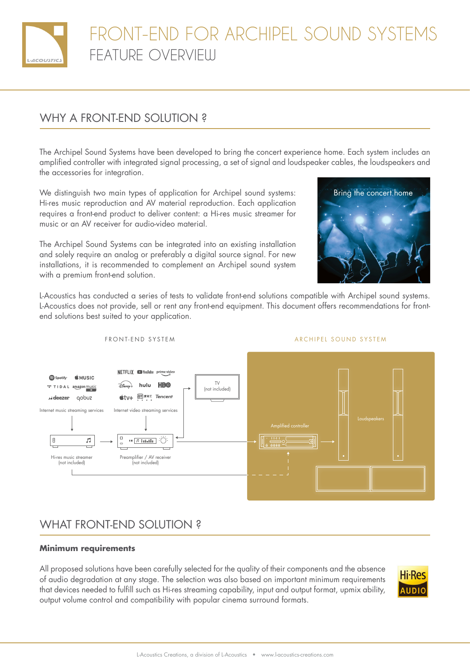

# FRONT-END FOR ARCHIPEL SOUND SYSTEMS FEATURE OVERVIEW

## WHY A FRONT-END SOLUTION ?

The Archipel Sound Systems have been developed to bring the concert experience home. Each system includes an amplified controller with integrated signal processing, a set of signal and loudspeaker cables, the loudspeakers and the accessories for integration.

We distinguish two main types of application for Archipel sound systems: Hi-res music reproduction and AV material reproduction. Each application requires a front-end product to deliver content: a Hi-res music streamer for music or an AV receiver for audio-video material.

The Archipel Sound Systems can be integrated into an existing installation and solely require an analog or preferably a digital source signal. For new installations, it is recommended to complement an Archipel sound system with a premium front-end solution.



L-Acoustics has conducted a series of tests to validate front-end solutions compatible with Archipel sound systems. L-Acoustics does not provide, sell or rent any front-end equipment. This document offers recommendations for frontend solutions best suited to your application.



#### FRONT-END SYSTEM ARCHIPEL SOUND SYSTEM

## WHAT FRONT-END SOLUTION ?

### **Minimum requirements**

All proposed solutions have been carefully selected for the quality of their components and the absence of audio degradation at any stage. The selection was also based on important minimum requirements that devices needed to fulfill such as Hi-res streaming capability, input and output format, upmix ability, output volume control and compatibility with popular cinema surround formats.